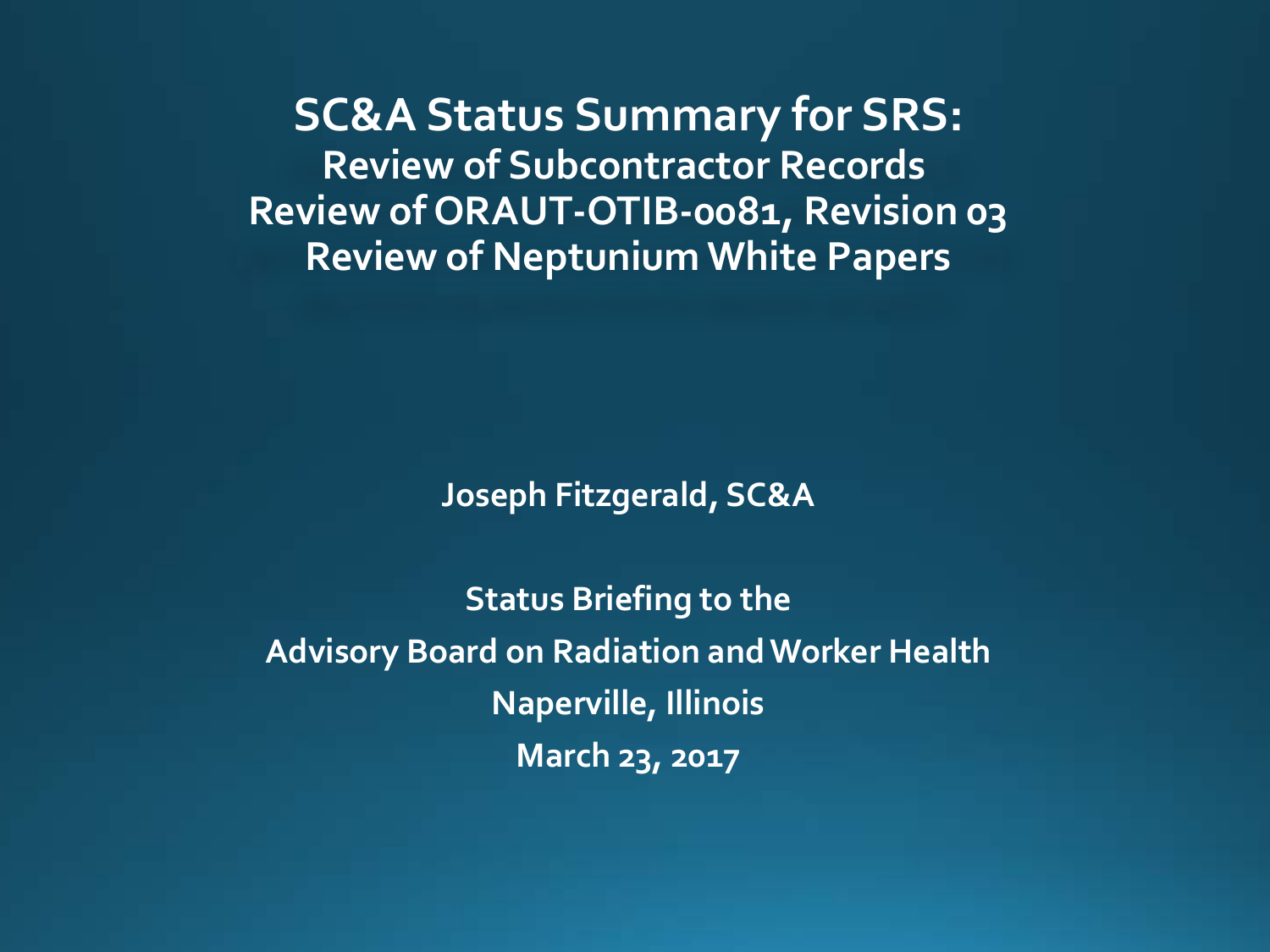**SC&A Status Summary for SRS: Review of Subcontractor Records Review of ORAUT-OTIB-0081, Revision 03 Review of Neptunium White Papers**

**Joseph Fitzgerald, SC&A**

**Status Briefing to the Advisory Board on Radiation and Worker Health Naperville, Illinois March 23, 2017**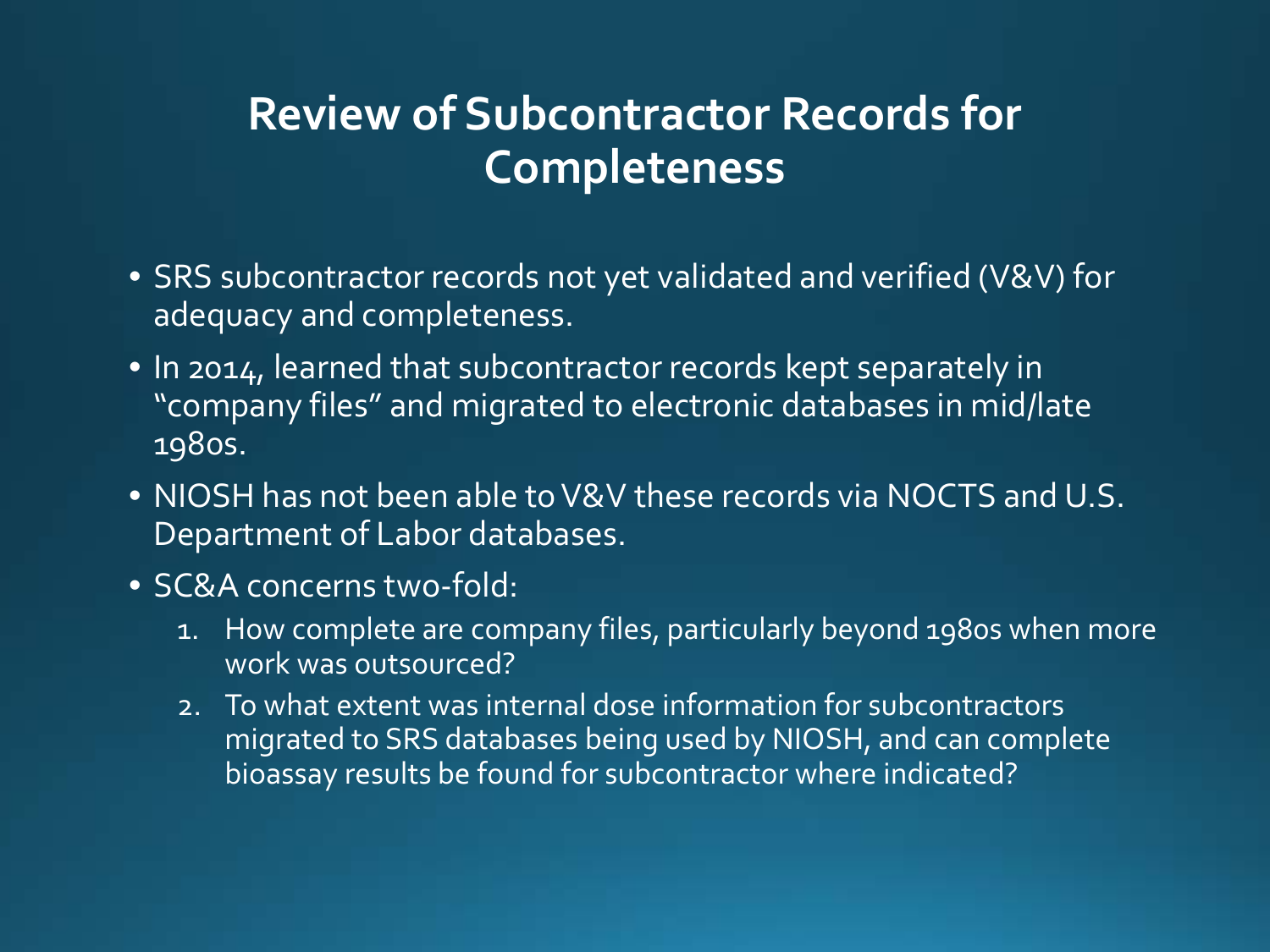# **Review of Subcontractor Records for Completeness**

- SRS subcontractor records not yet validated and verified (V&V) for adequacy and completeness.
- In 2014, learned that subcontractor records kept separately in "company files" and migrated to electronic databases in mid/late 1980s.
- NIOSH has not been able to V&V these records via NOCTS and U.S. Department of Labor databases.
- SC&A concerns two-fold:
	- 1. How complete are company files, particularly beyond 1980s when more work was outsourced?
	- 2. To what extent was internal dose information for subcontractors migrated to SRS databases being used by NIOSH, and can complete bioassay results be found for subcontractor where indicated?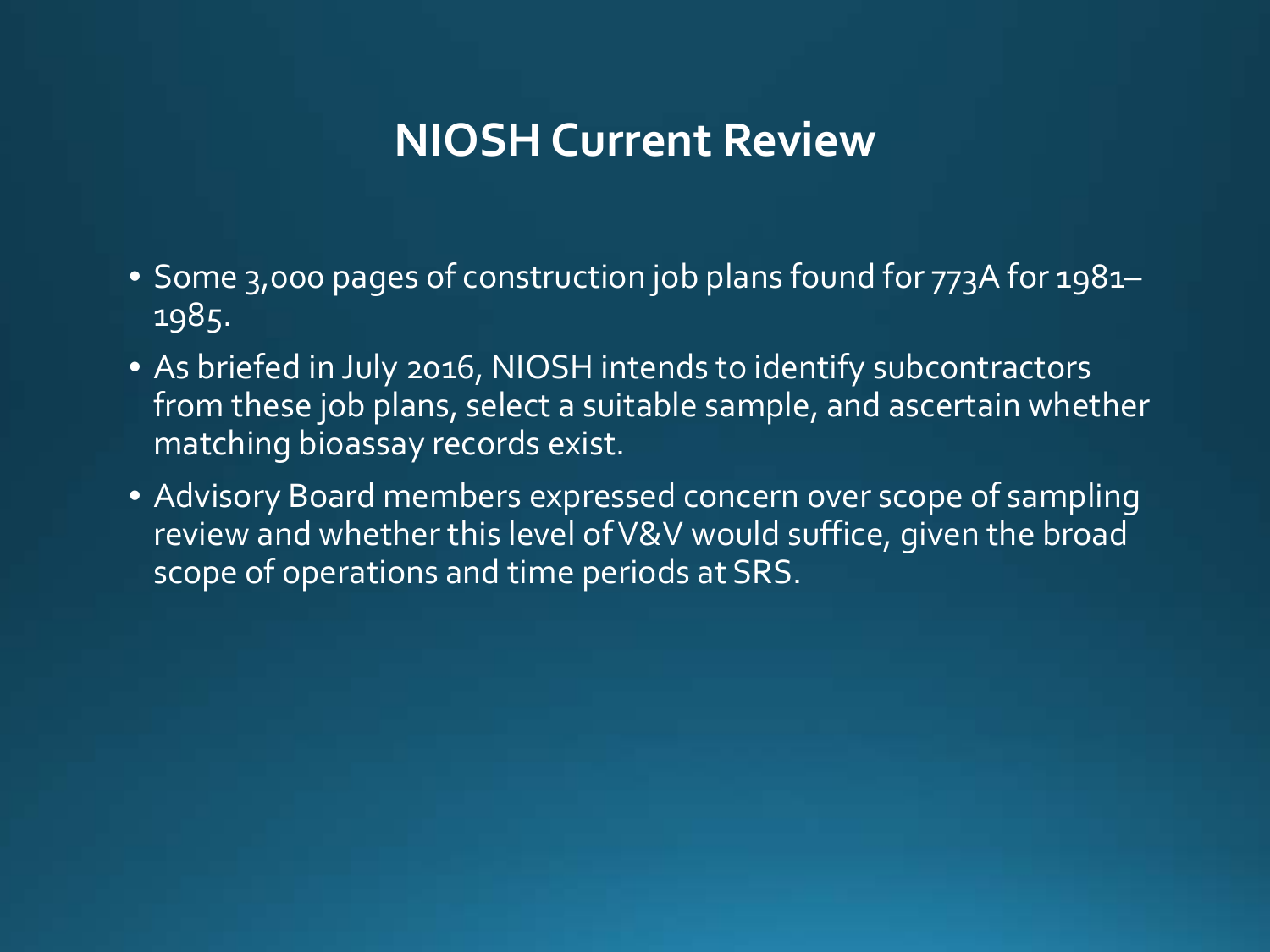# **NIOSH Current Review**

- Some 3,000 pages of construction job plans found for 773A for 1981– 1985.
- As briefed in July 2016, NIOSH intends to identify subcontractors from these job plans, select a suitable sample, and ascertain whether matching bioassay records exist.
- Advisory Board members expressed concern over scope of sampling review and whether this level of V&V would suffice, given the broad scope of operations and time periods at SRS.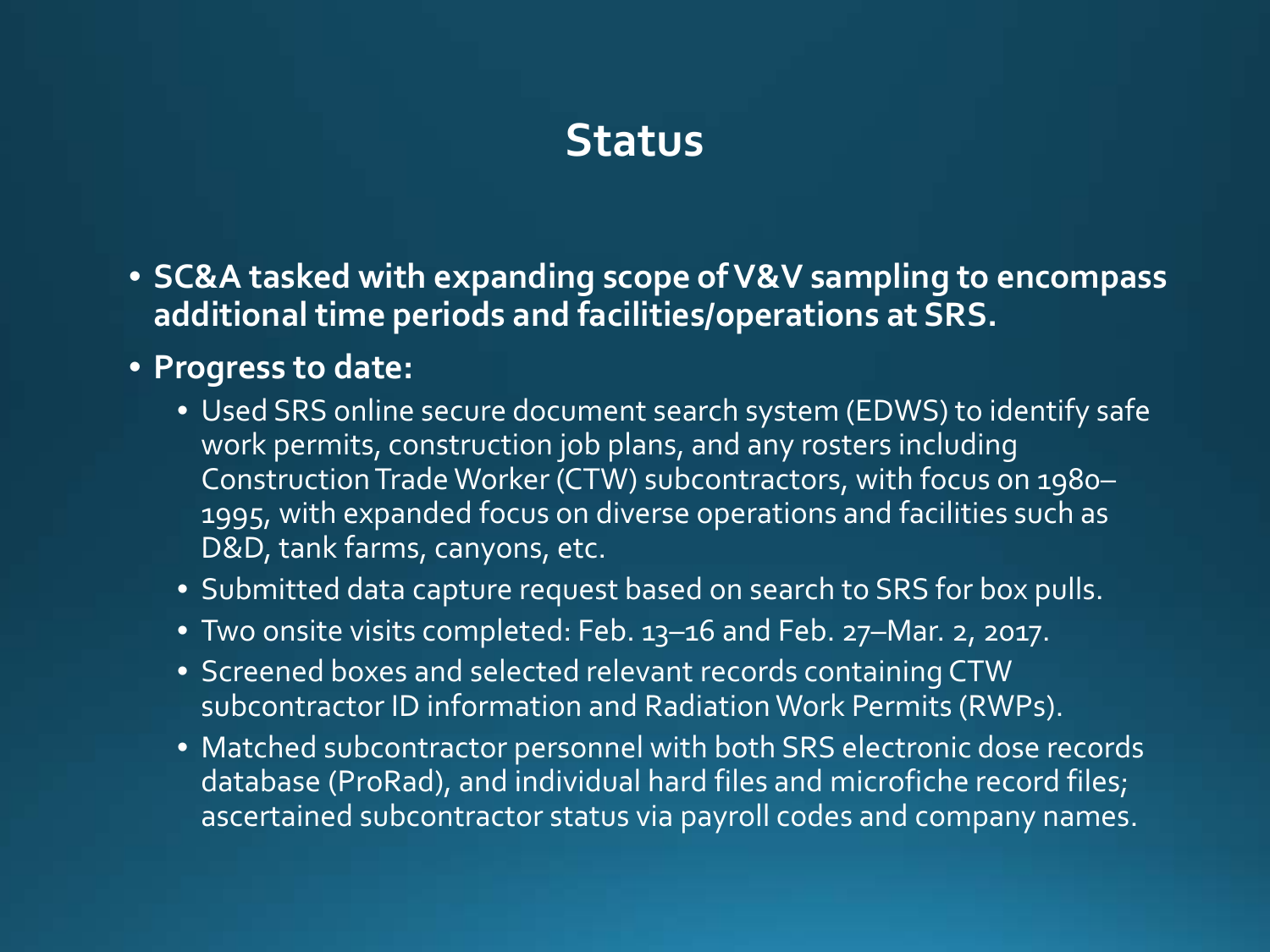# **Status**

- **SC&A tasked with expanding scope of V&V sampling to encompass additional time periods and facilities/operations at SRS.**
- **Progress to date:**
	- Used SRS online secure document search system (EDWS) to identify safe work permits, construction job plans, and any rosters including Construction Trade Worker (CTW) subcontractors, with focus on 1980– 1995, with expanded focus on diverse operations and facilities such as D&D, tank farms, canyons, etc.
	- Submitted data capture request based on search to SRS for box pulls.
	- Two onsite visits completed: Feb. 13–16 and Feb. 27–Mar. 2, 2017.
	- Screened boxes and selected relevant records containing CTW subcontractor ID information and Radiation Work Permits (RWPs).
	- Matched subcontractor personnel with both SRS electronic dose records database (ProRad), and individual hard files and microfiche record files; ascertained subcontractor status via payroll codes and company names.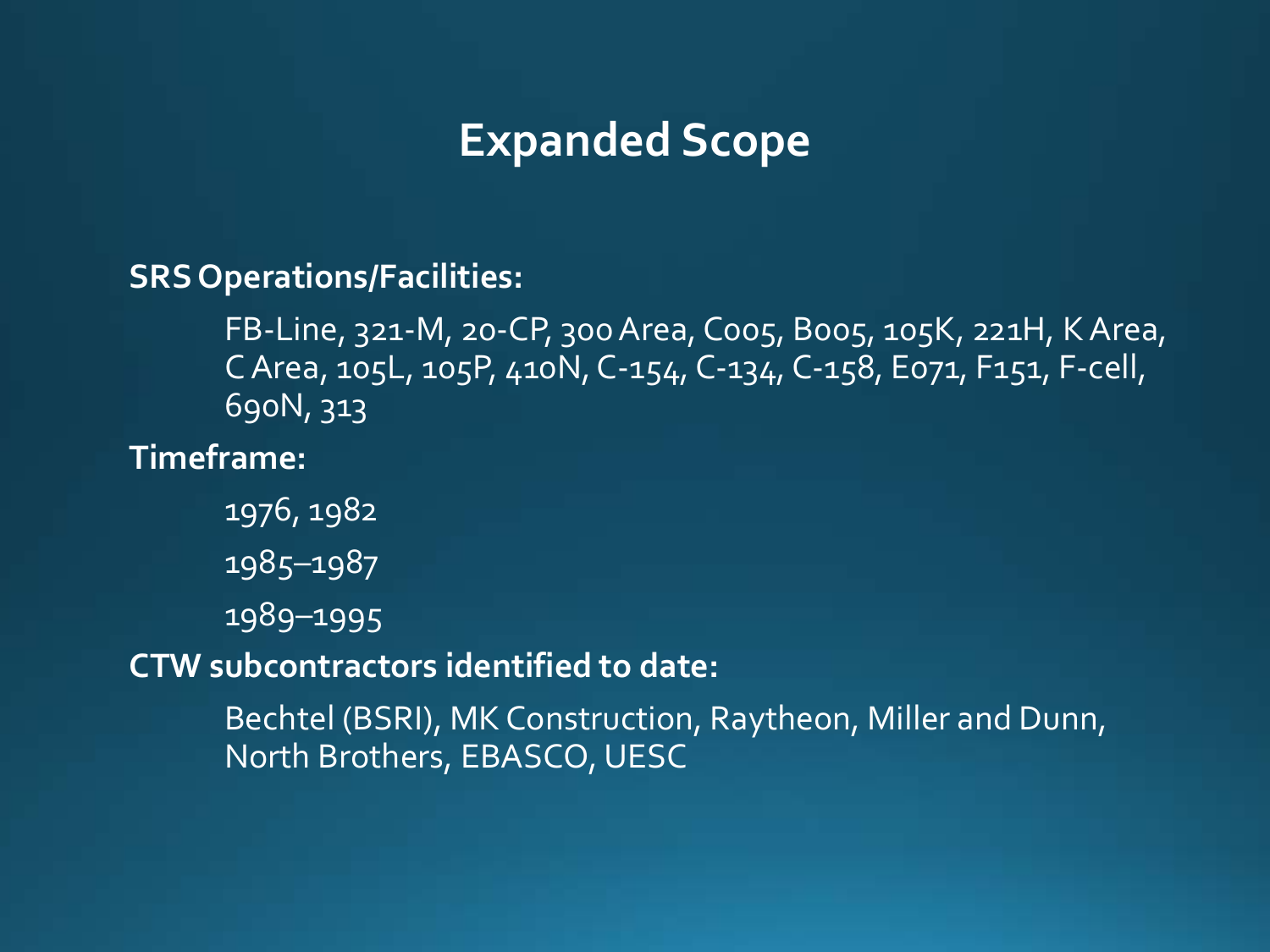### **Expanded Scope**

**SRS Operations/Facilities:**

FB-Line, 321-M, 20-CP, 300 Area, C005, B005, 105K, 221H, K Area, C Area, 105L, 105P, 410N, C-154, C-134, C-158, E071, F151, F-cell, 690N, 313

**Timeframe:**

1976, 1982 1985–1987 1989–1995

**CTW subcontractors identified to date:**

Bechtel (BSRI), MK Construction, Raytheon, Miller and Dunn, North Brothers, EBASCO, UESC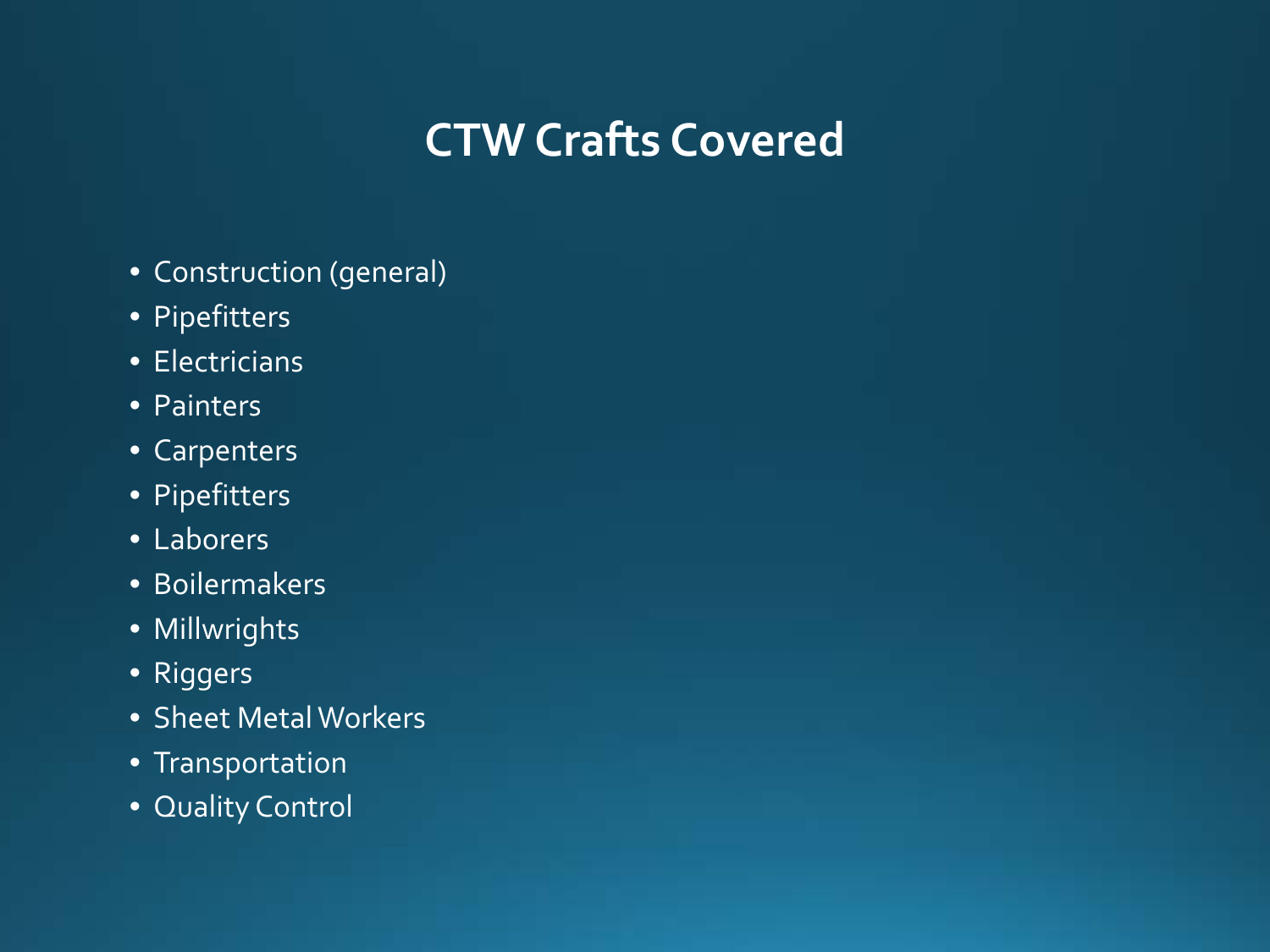# **CTW Crafts Covered**

- Construction (general)
- Pipefitters
- Electricians
- Painters
- Carpenters
- Pipefitters
- Laborers
- Boilermakers
- Millwrights
- Riggers
- Sheet Metal Workers
- Transportation
- Quality Control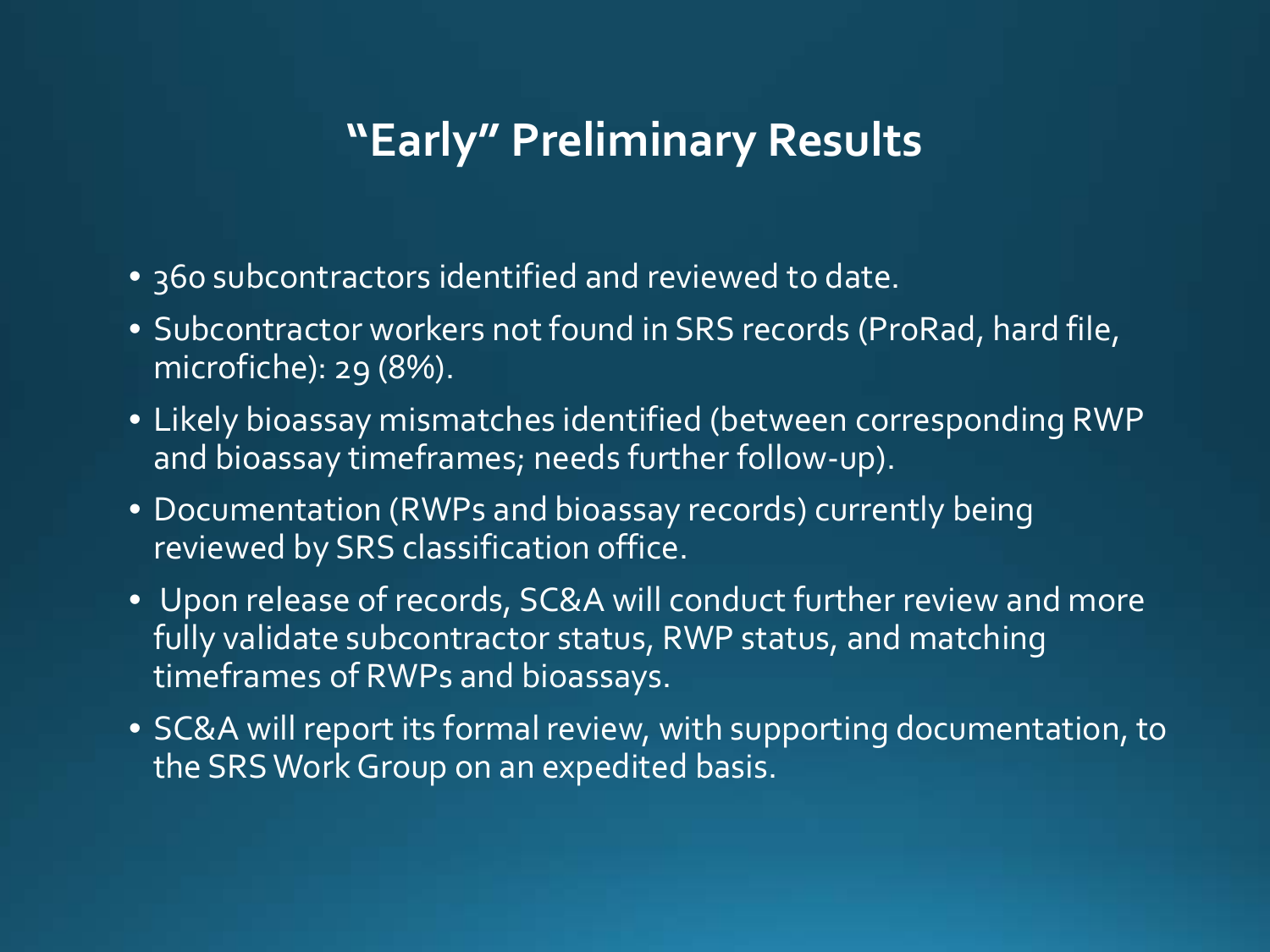## **"Early" Preliminary Results**

- 360 subcontractors identified and reviewed to date.
- Subcontractor workers not found in SRS records (ProRad, hard file, microfiche): 29 (8%).
- Likely bioassay mismatches identified (between corresponding RWP and bioassay timeframes; needs further follow-up).
- Documentation (RWPs and bioassay records) currently being reviewed by SRS classification office.
- Upon release of records, SC&A will conduct further review and more fully validate subcontractor status, RWP status, and matching timeframes of RWPs and bioassays.
- SC&A will report its formal review, with supporting documentation, to the SRS Work Group on an expedited basis.